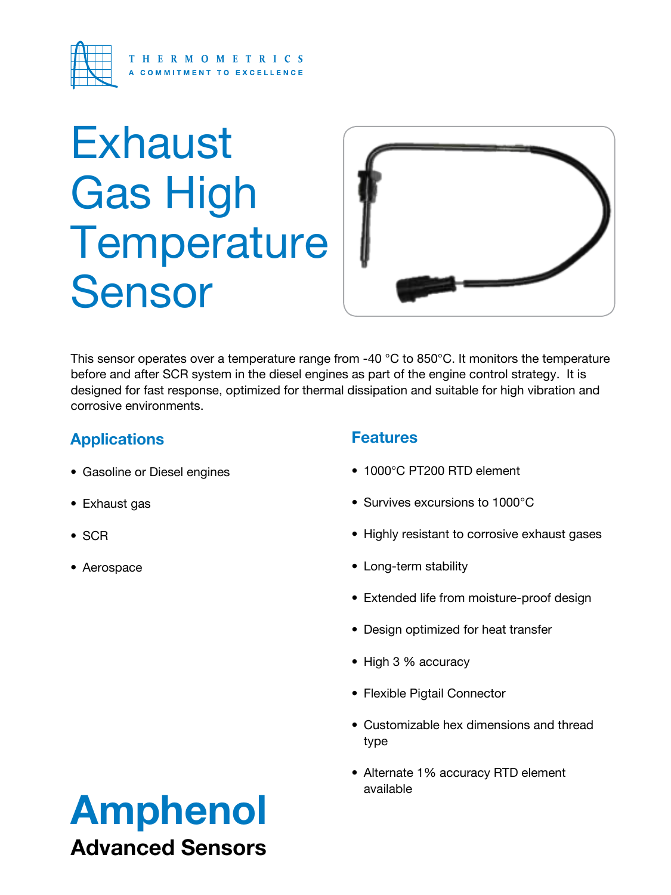

# **Exhaust** Gas High **Temperature** Sensor



This sensor operates over a temperature range from -40 °C to 850°C. It monitors the temperature before and after SCR system in the diesel engines as part of the engine control strategy. It is designed for fast response, optimized for thermal dissipation and suitable for high vibration and corrosive environments.

# **Applications**

- • Gasoline or Diesel engines
- Exhaust gas
- • SCR
- • Aerospace

### **Features**

- 1000°C PT200 RTD element
- Survives excursions to 1000°C
- Highly resistant to corrosive exhaust gases
- Long-term stability
- Extended life from moisture-proof design
- Design optimized for heat transfer
- High 3 % accuracy
- Flexible Pigtail Connector
- Customizable hex dimensions and thread type
- Alternate 1% accuracy RTD element available

# Amphenol Advanced Sensors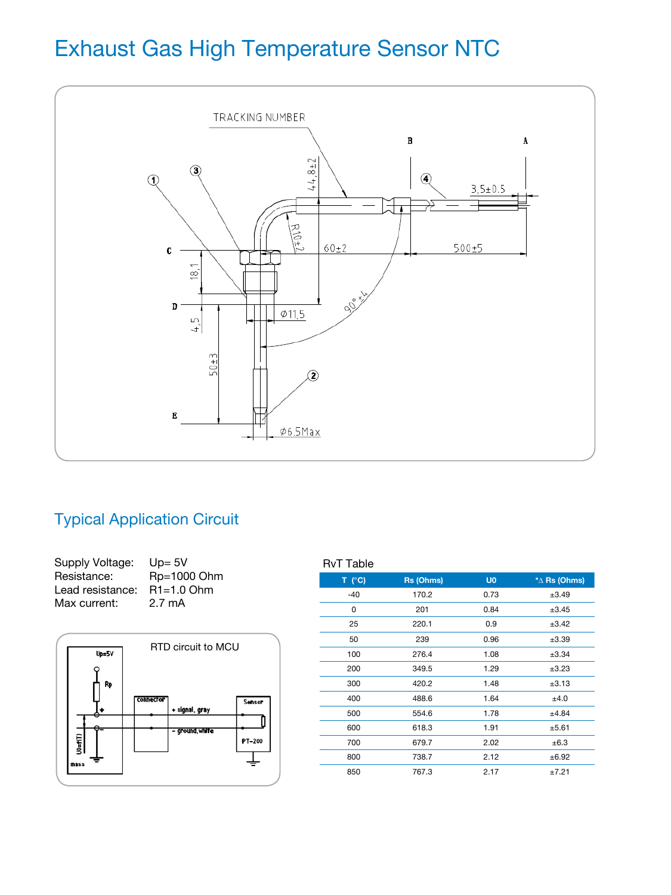# Exhaust Gas High Temperature Sensor NTC



## Typical Application Circuit

| $Up = 5V$        |
|------------------|
| Rp=1000 Ohm      |
| $R1 = 1.0$ Ohm   |
| $2.7 \text{ mA}$ |
|                  |



### **T (°C) Rs (Ohms) U0 \***∆ **Rs (Ohms)** -40 170.2 0.73 ±3.49 0 201 0.84  $\pm 3.45$ 25 220.1 0.9 ±3.42 50 239 0.96 ±3.39 100 276.4 1.08 ±3.34 200 349.5 1.29 ±3.23 300 420.2 1.48 ±3.13 400 488.6 1.64 ±4.0 500 554.6 1.78 ±4.84 600 618.3 1.91 ±5.61 700 679.7 2.02 ±6.3 800 738.7 2.12 ±6.92 850 767.3 2.17 ±7.21 RvT Table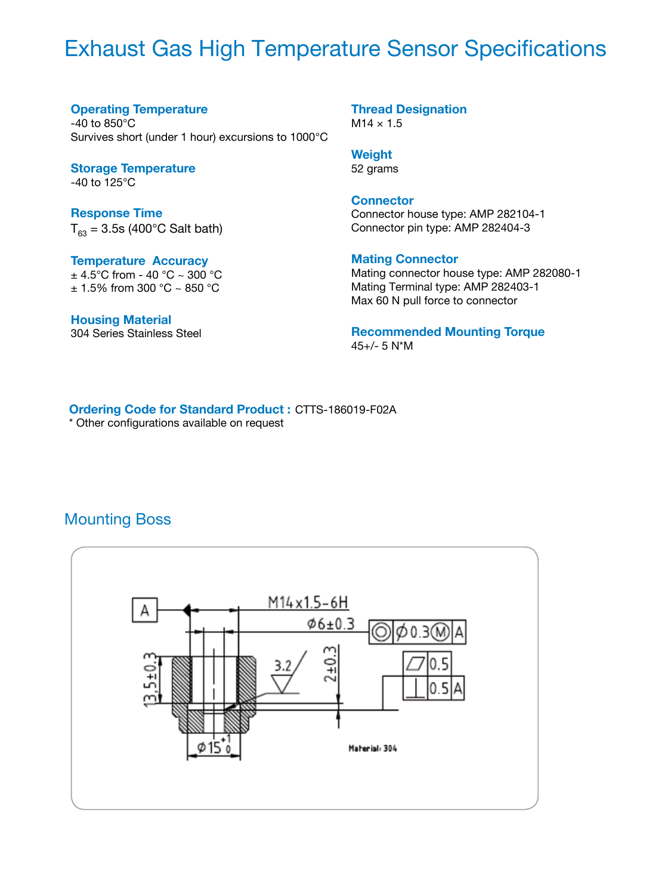# Exhaust Gas High Temperature Sensor Specifications

#### **Operating Temperature**

 $-40$  to  $850^{\circ}$ C Survives short (under 1 hour) excursions to 1000°C

**Storage Temperature** -40 to 125°C

**Response Time**  $T_{63} = 3.5$ s (400°C Salt bath)

**Temperature Accuracy**  $\pm$  4.5°C from - 40 °C ~ 300 °C  $± 1.5\%$  from 300 °C ~ 850 °C

**Housing Material**  304 Series Stainless Steel **Thread Designation**  $M14 \times 1.5$ 

**Weight**

52 grams

#### **Connector**

Connector house type: AMP 282104-1 Connector pin type: AMP 282404-3

#### **Mating Connector**

Mating connector house type: AMP 282080-1 Mating Terminal type: AMP 282403-1 Max 60 N pull force to connector

**Recommended Mounting Torque** 45+/- 5 N\*M

**Ordering Code for Standard Product :** CTTS-186019-F02A \* Other configurations available on request

### Mounting Boss